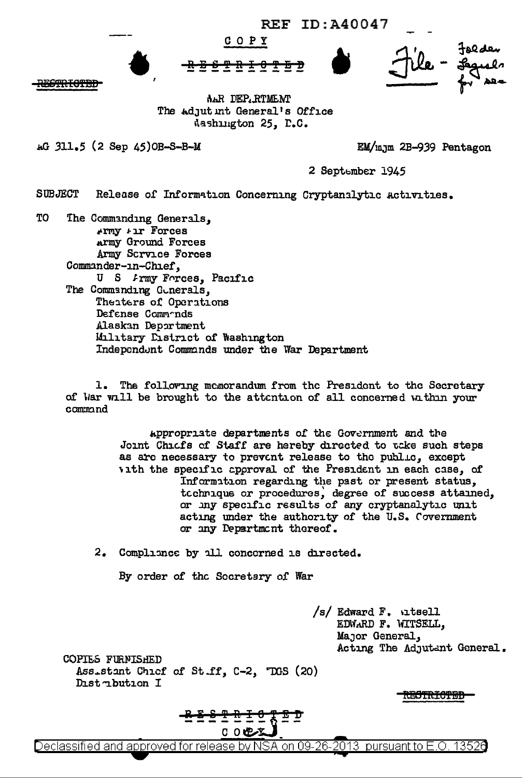

**MAR DEPLRTMENT** The Adjut int General's Office Mashington 25, P.C.

AG 311.5 (2 Sep 45) OB-S-B-M

TO

EM/mjm 2B-939 Pentagon

2 September 1945

**SUBJECT** Release of Information Concerning Cryptanalytic Activities.

The Commanding Generals. **ATMY AIT Forces** Army Ground Forces Army Scrvice Forces Commander-in-Chief, U S *Irmy* Forces, Pacific The Commanding Gunerals, Theaters of Operations Defense Commands Alaskan Department Military District of Washington Independent Commands under the War Department

1. The following memorandum from the President to the Secretary of War will be brought to the attention of all concerned within your command

> Appropriate departments of the Government and the Joint Chicfs of Staff are hereby directed to take such steps as are necessary to prevent release to the public, except with the specific approval of the President in each case, of Information regarding the past or present status, tcchnique or procedures, degree of success attained, or my specific results of any cryptanalytic unit acting under the authority of the U.S. Covernment or any Department thereof.

2. Compliance by all concerned is directed.

By order of the Secretary of War

/s/ Edward F. utsell EDWARD F. WITSELL, Major General, Acting The Adjutant General.

COPIES FURNISHED Assistant Chief of St.ff, C-2, TOS (20) Distribution I

as maria

on 09-26-2013 pursuant to  $E$ .O. Declassified and approved for release by l 13526